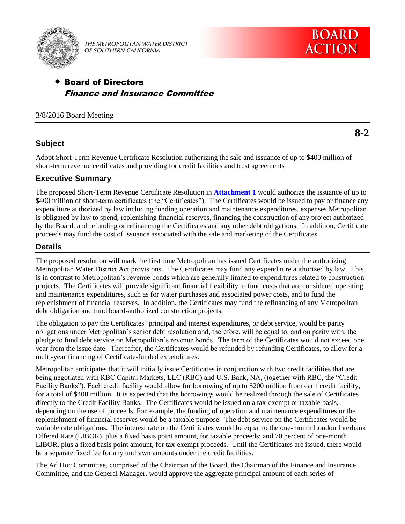

THE METROPOLITAN WATER DISTRICT OF SOUTHERN CALIFORNIA

# Board of Directors Finance and Insurance Committee

## 3/8/2016 Board Meeting

# **Subject**

Adopt Short-Term Revenue Certificate Resolution authorizing the sale and issuance of up to \$400 million of short-term revenue certificates and providing for credit facilities and trust agreements

# **Executive Summary**

The proposed Short-Term Revenue Certificate Resolution in **Attachment 1** would authorize the issuance of up to \$400 million of short-term certificates (the "Certificates"). The Certificates would be issued to pay or finance any expenditure authorized by law including funding operation and maintenance expenditures, expenses Metropolitan is obligated by law to spend, replenishing financial reserves, financing the construction of any project authorized by the Board, and refunding or refinancing the Certificates and any other debt obligations. In addition, Certificate proceeds may fund the cost of issuance associated with the sale and marketing of the Certificates.

# **Details**

The proposed resolution will mark the first time Metropolitan has issued Certificates under the authorizing Metropolitan Water District Act provisions. The Certificates may fund any expenditure authorized by law. This is in contrast to Metropolitan's revenue bonds which are generally limited to expenditures related to construction projects. The Certificates will provide significant financial flexibility to fund costs that are considered operating and maintenance expenditures, such as for water purchases and associated power costs, and to fund the replenishment of financial reserves. In addition, the Certificates may fund the refinancing of any Metropolitan debt obligation and fund board-authorized construction projects.

The obligation to pay the Certificates' principal and interest expenditures, or debt service, would be parity obligations under Metropolitan's senior debt resolution and, therefore, will be equal to, and on parity with, the pledge to fund debt service on Metropolitan's revenue bonds. The term of the Certificates would not exceed one year from the issue date. Thereafter, the Certificates would be refunded by refunding Certificates, to allow for a multi-year financing of Certificate-funded expenditures.

Metropolitan anticipates that it will initially issue Certificates in conjunction with two credit facilities that are being negotiated with RBC Capital Markets, LLC (RBC) and U.S. Bank, NA, (together with RBC, the "Credit Facility Banks"). Each credit facility would allow for borrowing of up to \$200 million from each credit facility, for a total of \$400 million. It is expected that the borrowings would be realized through the sale of Certificates directly to the Credit Facility Banks. The Certificates would be issued on a tax-exempt or taxable basis, depending on the use of proceeds. For example, the funding of operation and maintenance expenditures or the replenishment of financial reserves would be a taxable purpose. The debt service on the Certificates would be variable rate obligations. The interest rate on the Certificates would be equal to the one-month London Interbank Offered Rate (LIBOR), plus a fixed basis point amount, for taxable proceeds; and 70 percent of one-month LIBOR, plus a fixed basis point amount, for tax-exempt proceeds. Until the Certificates are issued, there would be a separate fixed fee for any undrawn amounts under the credit facilities.

The Ad Hoc Committee, comprised of the Chairman of the Board, the Chairman of the Finance and Insurance Committee, and the General Manager, would approve the aggregate principal amount of each series of

**8-2**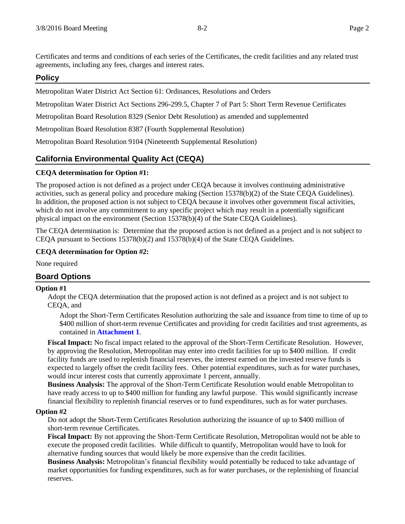Certificates and terms and conditions of each series of the Certificates, the credit facilities and any related trust agreements, including any fees, charges and interest rates.

## **Policy**

Metropolitan Water District Act Section 61: Ordinances, Resolutions and Orders

Metropolitan Water District Act Sections 296-299.5, Chapter 7 of Part 5: Short Term Revenue Certificates

Metropolitan Board Resolution 8329 (Senior Debt Resolution) as amended and supplemented

Metropolitan Board Resolution 8387 (Fourth Supplemental Resolution)

Metropolitan Board Resolution 9104 (Nineteenth Supplemental Resolution)

# **California Environmental Quality Act (CEQA)**

## **CEQA determination for Option #1:**

The proposed action is not defined as a project under CEQA because it involves continuing administrative activities, such as general policy and procedure making (Section 15378(b)(2) of the State CEQA Guidelines). In addition, the proposed action is not subject to CEQA because it involves other government fiscal activities, which do not involve any commitment to any specific project which may result in a potentially significant physical impact on the environment (Section 15378(b)(4) of the State CEQA Guidelines).

The CEQA determination is: Determine that the proposed action is not defined as a project and is not subject to CEQA pursuant to Sections 15378(b)(2) and 15378(b)(4) of the State CEQA Guidelines.

### **CEQA determination for Option #2:**

None required

# **Board Options**

### **Option #1**

Adopt the CEQA determination that the proposed action is not defined as a project and is not subject to CEQA, and

Adopt the Short-Term Certificates Resolution authorizing the sale and issuance from time to time of up to \$400 million of short-term revenue Certificates and providing for credit facilities and trust agreements, as contained in **Attachment 1**.

**Fiscal Impact:** No fiscal impact related to the approval of the Short-Term Certificate Resolution. However, by approving the Resolution, Metropolitan may enter into credit facilities for up to \$400 million. If credit facility funds are used to replenish financial reserves, the interest earned on the invested reserve funds is expected to largely offset the credit facility fees. Other potential expenditures, such as for water purchases, would incur interest costs that currently approximate 1 percent, annually.

**Business Analysis:** The approval of the Short-Term Certificate Resolution would enable Metropolitan to have ready access to up to \$400 million for funding any lawful purpose. This would significantly increase financial flexibility to replenish financial reserves or to fund expenditures, such as for water purchases.

### **Option #2**

Do not adopt the Short-Term Certificates Resolution authorizing the issuance of up to \$400 million of short-term revenue Certificates.

**Fiscal Impact:** By not approving the Short-Term Certificate Resolution, Metropolitan would not be able to execute the proposed credit facilities. While difficult to quantify, Metropolitan would have to look for alternative funding sources that would likely be more expensive than the credit facilities.

**Business Analysis:** Metropolitan's financial flexibility would potentially be reduced to take advantage of market opportunities for funding expenditures, such as for water purchases, or the replenishing of financial reserves.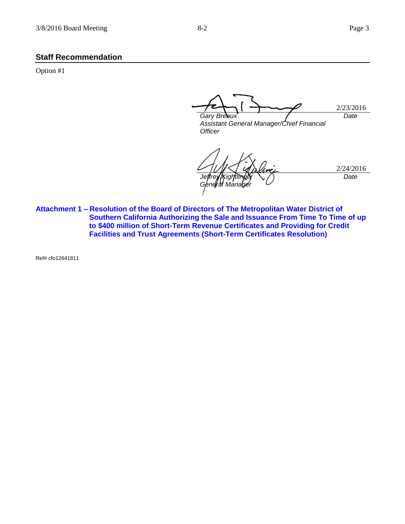### **Staff Recommendation**

Option #1

2/23/2016 *Gary Breaux Assistant General Manager/Chief Financial Officer Date*

2/24/2016 *Jeffrey [Kightlinger] General Manager Date*

**Attachment 1 – Resolution of the Board of Directors of The Metropolitan Water District of Southern California Authorizing the Sale and Issuance From Time To Time of up to \$400 million of Short-Term Revenue Certificates and Providing for Credit Facilities and Trust Agreements (Short-Term Certificates Resolution)**

Ref# cfo12641811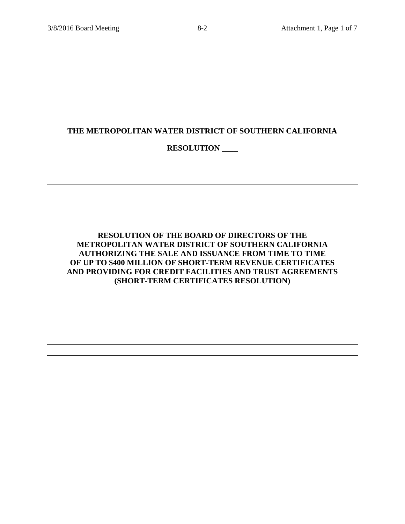# **THE METROPOLITAN WATER DISTRICT OF SOUTHERN CALIFORNIA**

# **RESOLUTION \_\_\_\_**

**RESOLUTION OF THE BOARD OF DIRECTORS OF THE METROPOLITAN WATER DISTRICT OF SOUTHERN CALIFORNIA AUTHORIZING THE SALE AND ISSUANCE FROM TIME TO TIME OF UP TO \$400 MILLION OF SHORT-TERM REVENUE CERTIFICATES AND PROVIDING FOR CREDIT FACILITIES AND TRUST AGREEMENTS (SHORT-TERM CERTIFICATES RESOLUTION)**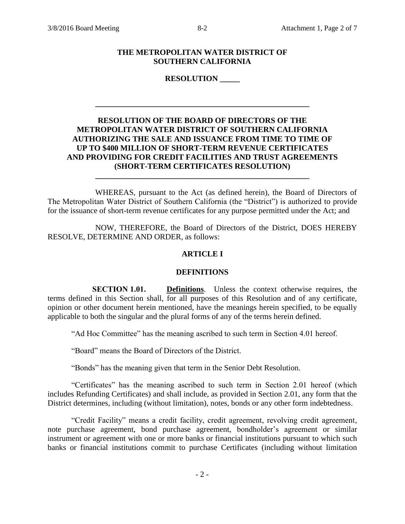### **THE METROPOLITAN WATER DISTRICT OF SOUTHERN CALIFORNIA**

**RESOLUTION \_\_\_\_\_**

## **RESOLUTION OF THE BOARD OF DIRECTORS OF THE METROPOLITAN WATER DISTRICT OF SOUTHERN CALIFORNIA AUTHORIZING THE SALE AND ISSUANCE FROM TIME TO TIME OF UP TO \$400 MILLION OF SHORT-TERM REVENUE CERTIFICATES AND PROVIDING FOR CREDIT FACILITIES AND TRUST AGREEMENTS (SHORT-TERM CERTIFICATES RESOLUTION)**

**\_\_\_\_\_\_\_\_\_\_\_\_\_\_\_\_\_\_\_\_\_\_\_\_\_\_\_\_\_\_\_\_\_\_\_\_\_\_\_\_\_\_\_\_\_\_\_\_\_\_\_\_\_\_**

WHEREAS, pursuant to the Act (as defined herein), the Board of Directors of The Metropolitan Water District of Southern California (the "District") is authorized to provide for the issuance of short-term revenue certificates for any purpose permitted under the Act; and

**\_\_\_\_\_\_\_\_\_\_\_\_\_\_\_\_\_\_\_\_\_\_\_\_\_\_\_\_\_\_\_\_\_\_\_\_\_\_\_\_\_\_\_\_\_\_\_\_\_\_\_\_\_\_**

NOW, THEREFORE, the Board of Directors of the District, DOES HEREBY RESOLVE, DETERMINE AND ORDER, as follows:

## **ARTICLE I**

## **DEFINITIONS**

**SECTION 1.01. Definitions**. Unless the context otherwise requires, the terms defined in this Section shall, for all purposes of this Resolution and of any certificate, opinion or other document herein mentioned, have the meanings herein specified, to be equally applicable to both the singular and the plural forms of any of the terms herein defined.

"Ad Hoc Committee" has the meaning ascribed to such term in Section 4.01 hereof.

"Board" means the Board of Directors of the District.

"Bonds" has the meaning given that term in the Senior Debt Resolution.

"Certificates" has the meaning ascribed to such term in Section 2.01 hereof (which includes Refunding Certificates) and shall include, as provided in Section 2.01, any form that the District determines, including (without limitation), notes, bonds or any other form indebtedness.

"Credit Facility" means a credit facility, credit agreement, revolving credit agreement, note purchase agreement, bond purchase agreement, bondholder's agreement or similar instrument or agreement with one or more banks or financial institutions pursuant to which such banks or financial institutions commit to purchase Certificates (including without limitation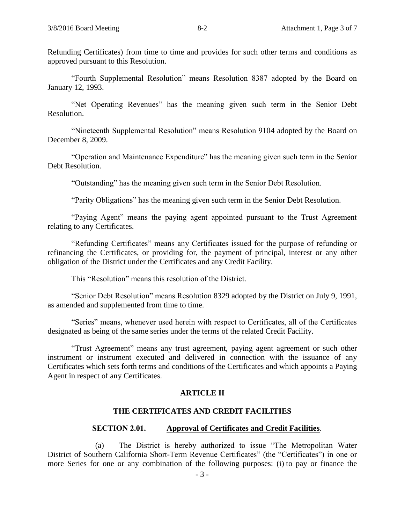Refunding Certificates) from time to time and provides for such other terms and conditions as approved pursuant to this Resolution.

"Fourth Supplemental Resolution" means Resolution 8387 adopted by the Board on January 12, 1993.

"Net Operating Revenues" has the meaning given such term in the Senior Debt Resolution.

"Nineteenth Supplemental Resolution" means Resolution 9104 adopted by the Board on December 8, 2009.

"Operation and Maintenance Expenditure" has the meaning given such term in the Senior Debt Resolution.

"Outstanding" has the meaning given such term in the Senior Debt Resolution.

"Parity Obligations" has the meaning given such term in the Senior Debt Resolution.

"Paying Agent" means the paying agent appointed pursuant to the Trust Agreement relating to any Certificates.

"Refunding Certificates" means any Certificates issued for the purpose of refunding or refinancing the Certificates, or providing for, the payment of principal, interest or any other obligation of the District under the Certificates and any Credit Facility.

This "Resolution" means this resolution of the District.

"Senior Debt Resolution" means Resolution 8329 adopted by the District on July 9, 1991, as amended and supplemented from time to time.

"Series" means, whenever used herein with respect to Certificates, all of the Certificates designated as being of the same series under the terms of the related Credit Facility.

"Trust Agreement" means any trust agreement, paying agent agreement or such other instrument or instrument executed and delivered in connection with the issuance of any Certificates which sets forth terms and conditions of the Certificates and which appoints a Paying Agent in respect of any Certificates.

## **ARTICLE II**

## **THE CERTIFICATES AND CREDIT FACILITIES**

#### **SECTION 2.01. Approval of Certificates and Credit Facilities**.

(a) The District is hereby authorized to issue "The Metropolitan Water District of Southern California Short-Term Revenue Certificates" (the "Certificates") in one or more Series for one or any combination of the following purposes: (i) to pay or finance the

- 3 -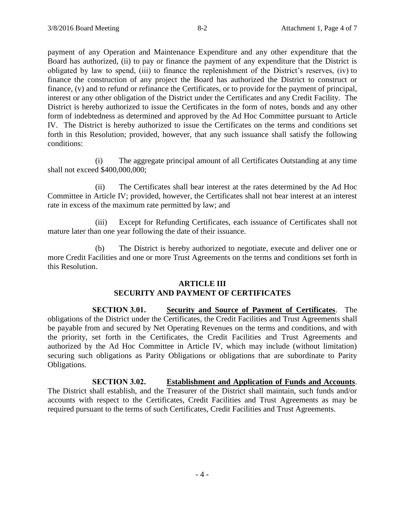payment of any Operation and Maintenance Expenditure and any other expenditure that the Board has authorized, (ii) to pay or finance the payment of any expenditure that the District is obligated by law to spend, (iii) to finance the replenishment of the District's reserves, (iv) to finance the construction of any project the Board has authorized the District to construct or finance, (v) and to refund or refinance the Certificates, or to provide for the payment of principal, interest or any other obligation of the District under the Certificates and any Credit Facility. The District is hereby authorized to issue the Certificates in the form of notes, bonds and any other form of indebtedness as determined and approved by the Ad Hoc Committee pursuant to Article IV. The District is hereby authorized to issue the Certificates on the terms and conditions set forth in this Resolution; provided, however, that any such issuance shall satisfy the following conditions:

(i) The aggregate principal amount of all Certificates Outstanding at any time shall not exceed \$400,000,000;

(ii) The Certificates shall bear interest at the rates determined by the Ad Hoc Committee in Article IV; provided, however, the Certificates shall not bear interest at an interest rate in excess of the maximum rate permitted by law; and

(iii) Except for Refunding Certificates, each issuance of Certificates shall not mature later than one year following the date of their issuance.

(b) The District is hereby authorized to negotiate, execute and deliver one or more Credit Facilities and one or more Trust Agreements on the terms and conditions set forth in this Resolution.

## **ARTICLE III SECURITY AND PAYMENT OF CERTIFICATES**

**SECTION 3.01. Security and Source of Payment of Certificates**. The obligations of the District under the Certificates, the Credit Facilities and Trust Agreements shall be payable from and secured by Net Operating Revenues on the terms and conditions, and with the priority, set forth in the Certificates, the Credit Facilities and Trust Agreements and authorized by the Ad Hoc Committee in Article IV, which may include (without limitation) securing such obligations as Parity Obligations or obligations that are subordinate to Parity Obligations.

**SECTION 3.02. Establishment and Application of Funds and Accounts**. The District shall establish, and the Treasurer of the District shall maintain, such funds and/or accounts with respect to the Certificates, Credit Facilities and Trust Agreements as may be required pursuant to the terms of such Certificates, Credit Facilities and Trust Agreements.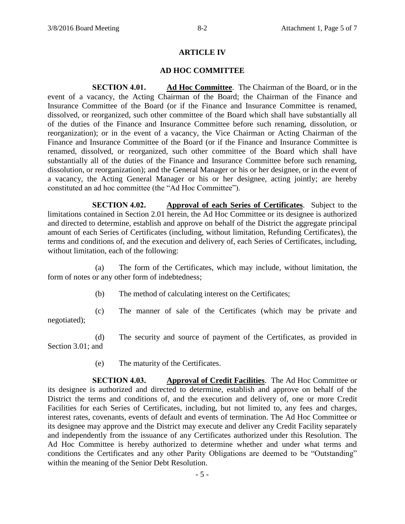### **ARTICLE IV**

### **AD HOC COMMITTEE**

**SECTION 4.01. Ad Hoc Committee**. The Chairman of the Board, or in the event of a vacancy, the Acting Chairman of the Board; the Chairman of the Finance and Insurance Committee of the Board (or if the Finance and Insurance Committee is renamed, dissolved, or reorganized, such other committee of the Board which shall have substantially all of the duties of the Finance and Insurance Committee before such renaming, dissolution, or reorganization); or in the event of a vacancy, the Vice Chairman or Acting Chairman of the Finance and Insurance Committee of the Board (or if the Finance and Insurance Committee is renamed, dissolved, or reorganized, such other committee of the Board which shall have substantially all of the duties of the Finance and Insurance Committee before such renaming, dissolution, or reorganization); and the General Manager or his or her designee, or in the event of a vacancy, the Acting General Manager or his or her designee, acting jointly; are hereby constituted an ad hoc committee (the "Ad Hoc Committee").

**SECTION 4.02. Approval of each Series of Certificates**. Subject to the limitations contained in Section 2.01 herein, the Ad Hoc Committee or its designee is authorized and directed to determine, establish and approve on behalf of the District the aggregate principal amount of each Series of Certificates (including, without limitation, Refunding Certificates), the terms and conditions of, and the execution and delivery of, each Series of Certificates, including, without limitation, each of the following:

(a) The form of the Certificates, which may include, without limitation, the form of notes or any other form of indebtedness;

(b) The method of calculating interest on the Certificates;

(c) The manner of sale of the Certificates (which may be private and negotiated);

(d) The security and source of payment of the Certificates, as provided in Section 3.01; and

(e) The maturity of the Certificates.

**SECTION 4.03. Approval of Credit Facilities**. The Ad Hoc Committee or its designee is authorized and directed to determine, establish and approve on behalf of the District the terms and conditions of, and the execution and delivery of, one or more Credit Facilities for each Series of Certificates, including, but not limited to, any fees and charges, interest rates, covenants, events of default and events of termination. The Ad Hoc Committee or its designee may approve and the District may execute and deliver any Credit Facility separately and independently from the issuance of any Certificates authorized under this Resolution. The Ad Hoc Committee is hereby authorized to determine whether and under what terms and conditions the Certificates and any other Parity Obligations are deemed to be "Outstanding" within the meaning of the Senior Debt Resolution.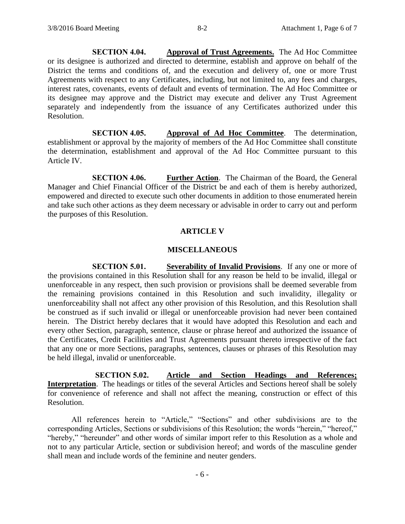**SECTION 4.04. Approval of Trust Agreements.** The Ad Hoc Committee or its designee is authorized and directed to determine, establish and approve on behalf of the District the terms and conditions of, and the execution and delivery of, one or more Trust Agreements with respect to any Certificates, including, but not limited to, any fees and charges, interest rates, covenants, events of default and events of termination. The Ad Hoc Committee or its designee may approve and the District may execute and deliver any Trust Agreement separately and independently from the issuance of any Certificates authorized under this Resolution.

**SECTION 4.05. Approval of Ad Hoc Committee**. The determination, establishment or approval by the majority of members of the Ad Hoc Committee shall constitute the determination, establishment and approval of the Ad Hoc Committee pursuant to this Article IV.

**SECTION 4.06. Further Action**. The Chairman of the Board, the General Manager and Chief Financial Officer of the District be and each of them is hereby authorized, empowered and directed to execute such other documents in addition to those enumerated herein and take such other actions as they deem necessary or advisable in order to carry out and perform the purposes of this Resolution.

### **ARTICLE V**

### **MISCELLANEOUS**

**SECTION 5.01. Severability of Invalid Provisions**. If any one or more of the provisions contained in this Resolution shall for any reason be held to be invalid, illegal or unenforceable in any respect, then such provision or provisions shall be deemed severable from the remaining provisions contained in this Resolution and such invalidity, illegality or unenforceability shall not affect any other provision of this Resolution, and this Resolution shall be construed as if such invalid or illegal or unenforceable provision had never been contained herein. The District hereby declares that it would have adopted this Resolution and each and every other Section, paragraph, sentence, clause or phrase hereof and authorized the issuance of the Certificates, Credit Facilities and Trust Agreements pursuant thereto irrespective of the fact that any one or more Sections, paragraphs, sentences, clauses or phrases of this Resolution may be held illegal, invalid or unenforceable.

**SECTION 5.02. Article and Section Headings and References; Interpretation**. The headings or titles of the several Articles and Sections hereof shall be solely for convenience of reference and shall not affect the meaning, construction or effect of this Resolution.

All references herein to "Article," "Sections" and other subdivisions are to the corresponding Articles, Sections or subdivisions of this Resolution; the words "herein," "hereof," "hereby," "hereunder" and other words of similar import refer to this Resolution as a whole and not to any particular Article, section or subdivision hereof; and words of the masculine gender shall mean and include words of the feminine and neuter genders.